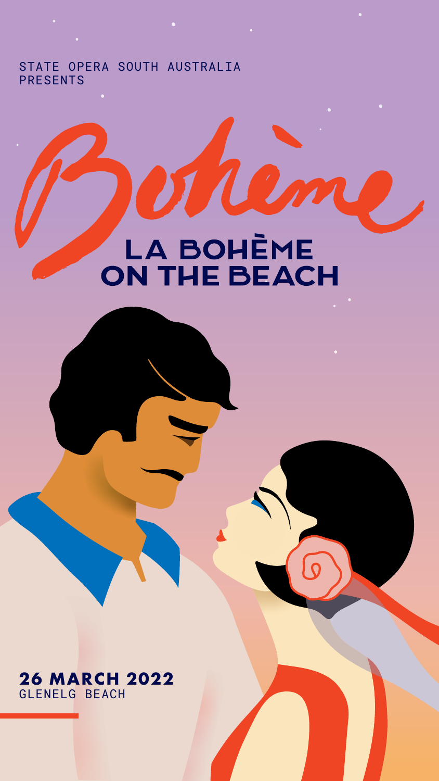**26 MARCH 2022** GLENELG BEACH



# <span id="page-0-0"></span> $\bullet$

#### STATE OPERA SOUTH AUSTRALIA PRESENTS

LA BOHÈME ON THE BEACH  $\bullet$ 

 $\bullet$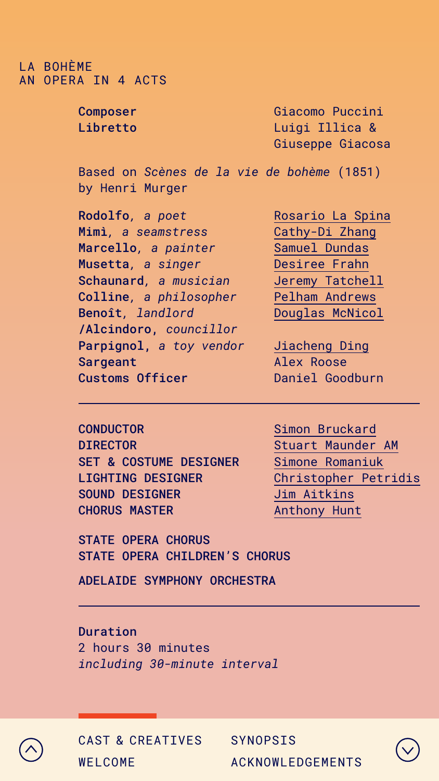#### <span id="page-1-0"></span>LA BOHÈME AN OPERA IN 4 ACTS

Composer Libretto

Giacomo Puccini Luigi Illica & Giuseppe Giacosa

Based on *Scènes de la vie de bohème* (1851) by Henri Murger

STATE OPERA CHORUS STATE OPERA CHILDREN'S CHORUS

ADELAIDE SYMPHONY ORCHESTRA

Duration 2 hours 30 minutes *including 30-minute interval*



**CONDUCTOR** DIRECTOR SET & COSTUME DESIGNER LIGHTING DESIGNER SOUND DESIGNER CHORUS MASTER

Rodolfo*, a poet*  Mimì*, a seamstress* Marcello*, a painter* Musetta*, a singer* Schaunard*, a musician* Colline*, a philosopher* Benoît*, landlord* /Alcindoro, *councillor* Parpignol, *a toy vendor* Sargeant Customs Officer

[Rosario La Spina](https://stateopera.com.au/artist/rosario-la-spina/) [Cathy-Di Zhang](https://stateopera.com.au/artist/cathy-di-zhang/) [Samuel Dundas](https://stateopera.com.au/artist/samuel-dundas/) [Desiree Frahn](https://stateopera.com.au/artist/desiree-frahn/) [Jeremy Tatchell](https://stateopera.com.au/artist/jeremy-tatchell/) [Pelham Andrews](https://stateopera.com.au/artist/pelham-andrews/) [Douglas McNicol](https://stateopera.com.au/artist/douglas-mcnicol/)

[Jiacheng Ding](https://stateopera.com.au/artist/jiacheng-ding/) Alex Roose Daniel Goodburn

[Simon Bruckard](https://stateopera.com.au/artist/simon-bruckard/) [Stuart Maunder AM](https://stateopera.com.au/artist/stuart-maunder/) [Simone Romaniuk](https://stateopera.com.au/artist/simone-romaniuk/) [Christopher Petridis](https://stateopera.com.au/artist/christopher-petridis/) [Jim Aitkins](https://stateopera.com.au/artist/jim-atkins/) [Anthony Hunt](https://stateopera.com.au/artist/anthony-hunt/)



| WELCOME |  |  |
|---------|--|--|
|         |  |  |



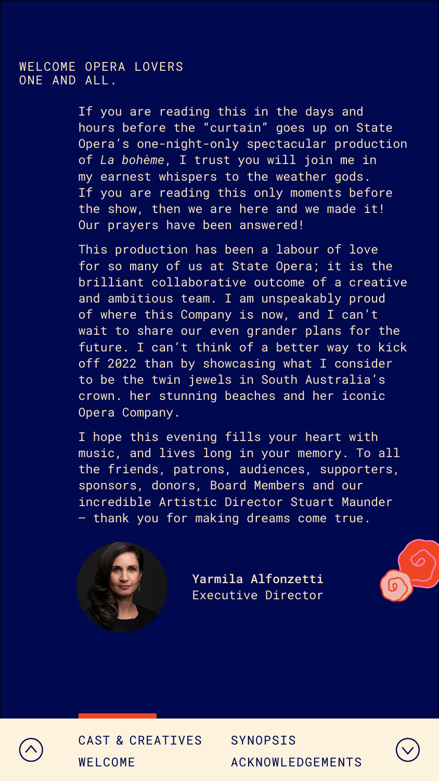#### <span id="page-2-0"></span>WELCOME OPERA LOVERS ONE AND ALL.

If you are reading this in the days and hours before the "curtain" goes up on State Opera's one-night-only spectacular production of *La bohème*, I trust you will join me in my earnest whispers to the weather gods. If you are reading this only moments before the show, then we are here and we made it! Our prayers have been answered!

This production has been a labour of love for so many of us at State Opera; it is the brilliant collaborative outcome of a creative and ambitious team. I am unspeakably proud of where this Company is now, and I can't, wait to share our even grander plans for the future. I can't think of a better way to kick off 2022 than by showcasing what I consider to be the twin jewels in South Australia's crown: her stunning beaches and her iconic Opera Company.

I hope this evening fills your heart with music, and lives long in your memory. To all the friends, patrons, audiences, supporters, sponsors, donors, Board Members and our incredible Artistic Director Stuart Maunder – thank you for making dreams come true.



Yarmila Alfonzetti Executive Director







| WELCOME |  |  |
|---------|--|--|
|         |  |  |



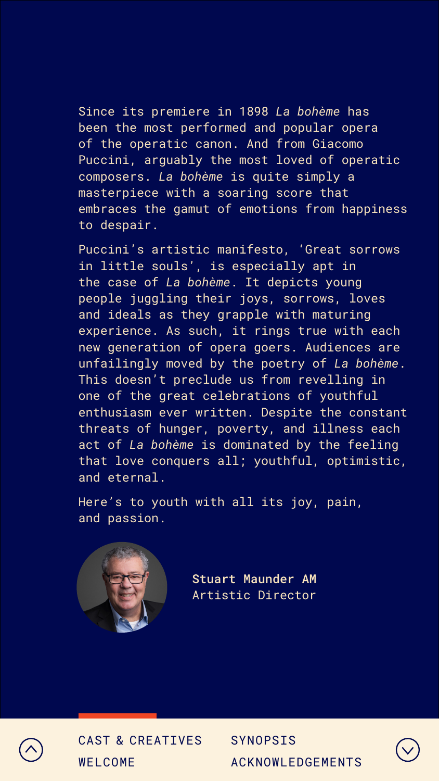Since its premiere in 1898 *La bohème* has been the most performed and popular opera of the operatic canon. And from Giacomo Puccini, arguably the most loved of operatic composers. *La bohème* is quite simply a masterpiece with a soaring score that embraces the gamut of emotions from happiness to despair.

Puccini's artistic manifesto, 'Great sorrows in little souls', is especially apt in the case of *La bohème*. It depicts young people juggling their joys, sorrows, loves and ideals as they grapple with maturing experience. As such, it rings true with each new generation of opera goers. Audiences are unfailingly moved by the poetry of *La bohème*. This doesn't preclude us from revelling in one of the great celebrations of youthful enthusiasm ever written. Despite the constant threats of hunger, poverty, and illness each act of *La bohème* is dominated by the feeling that love conquers all; youthful, optimistic, and eternal.

Here's to youth with all its joy, pain, and passion.



Stuart Maunder AM Artistic Director





| WELCOME |  |  |
|---------|--|--|
|         |  |  |



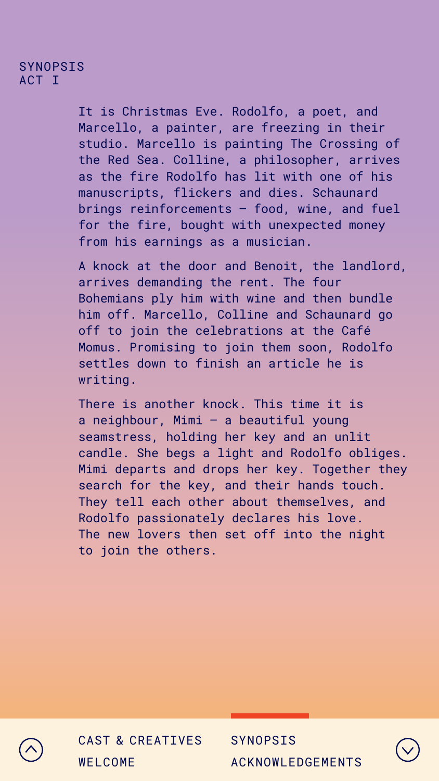#### <span id="page-4-0"></span>SYNOPSIS ACT I

It is Christmas Eve. Rodolfo, a poet, and Marcello, a painter, are freezing in their studio. Marcello is painting The Crossing of the Red Sea. Colline, a philosopher, arrives as the fire Rodolfo has lit with one of his manuscripts, flickers and dies. Schaunard brings reinforcements – food, wine, and fuel for the fire, bought with unexpected money from his earnings as a musician.

A knock at the door and Benoit, the landlord, arrives demanding the rent. The four Bohemians ply him with wine and then bundle him off. Marcello, Colline and Schaunard go off to join the celebrations at the Café Momus. Promising to join them soon, Rodolfo settles down to finish an article he is writing.

There is another knock. This time it is a neighbour, Mimi – a beautiful young seamstress, holding her key and an unlit candle. She begs a light and Rodolfo obliges. Mimi departs and drops her key. Together they search for the key, and their hands touch. They tell each other about themselves, and Rodolfo passionately declares his love. The new lovers then set off into the night to join the others.





| WELCOME |  |  |
|---------|--|--|
|         |  |  |



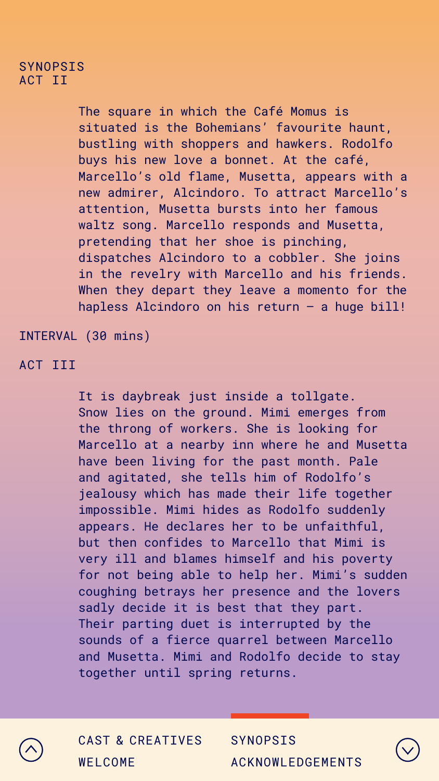#### SYNOPSIS ACT II

ACT III

INTERVAL (30 mins)

The square in which the Café Momus is situated is the Bohemians' favourite haunt, bustling with shoppers and hawkers. Rodolfo buys his new love a bonnet. At the café, Marcello's old flame, Musetta, appears with a new admirer, Alcindoro. To attract Marcello's attention, Musetta bursts into her famous waltz song. Marcello responds and Musetta, pretending that her shoe is pinching, dispatches Alcindoro to a cobbler. She joins in the revelry with Marcello and his friends. When they depart they leave a momento for the hapless Alcindoro on his return – a huge bill!

It is daybreak just inside a tollgate. Snow lies on the ground. Mimi emerges from the throng of workers. She is looking for Marcello at a nearby inn where he and Musetta have been living for the past month. Pale and agitated, she tells him of Rodolfo's jealousy which has made their life together impossible. Mimi hides as Rodolfo suddenly appears. He declares her to be unfaithful, but then confides to Marcello that Mimi is very ill and blames himself and his poverty for not being able to help her. Mimi's sudden coughing betrays her presence and the lovers sadly decide it is best that they part. Their parting duet is interrupted by the sounds of a fierce quarrel between Marcello and Musetta. Mimi and Rodolfo decide to stay together until spring returns.





| WELCOME |  |  |
|---------|--|--|
|         |  |  |



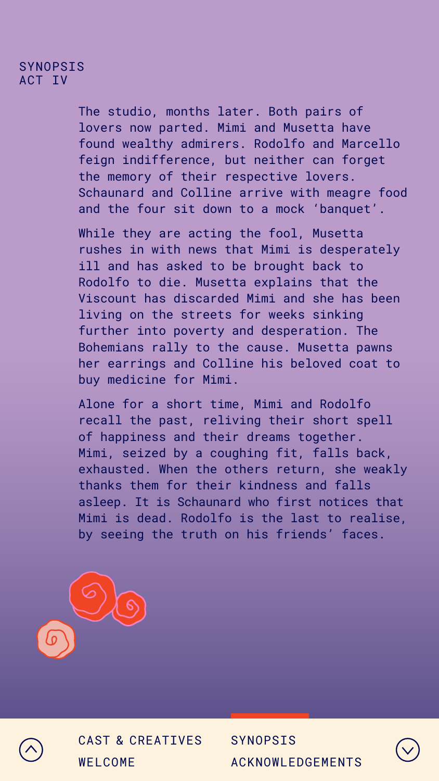#### SYNOPSIS ACT IV

The studio, months later. Both pairs of lovers now parted. Mimi and Musetta have found wealthy admirers. Rodolfo and Marcello feign indifference, but neither can forget the memory of their respective lovers. Schaunard and Colline arrive with meagre food and the four sit down to a mock 'banquet'.

While they are acting the fool, Musetta rushes in with news that Mimi is desperately ill and has asked to be brought back to Rodolfo to die. Musetta explains that the Viscount has discarded Mimi and she has been living on the streets for weeks sinking further into poverty and desperation. The Bohemians rally to the cause. Musetta pawns her earrings and Colline his beloved coat to buy medicine for Mimi.

Alone for a short time, Mimi and Rodolfo recall the past, reliving their short spell of happiness and their dreams together. Mimi, seized by a coughing fit, falls back, exhausted. When the others return, she weakly thanks them for their kindness and falls asleep. It is Schaunard who first notices that Mimi is dead. Rodolfo is the last to realise, by seeing the truth on his friends' faces.







| WELCOME |  |  |
|---------|--|--|
|         |  |  |



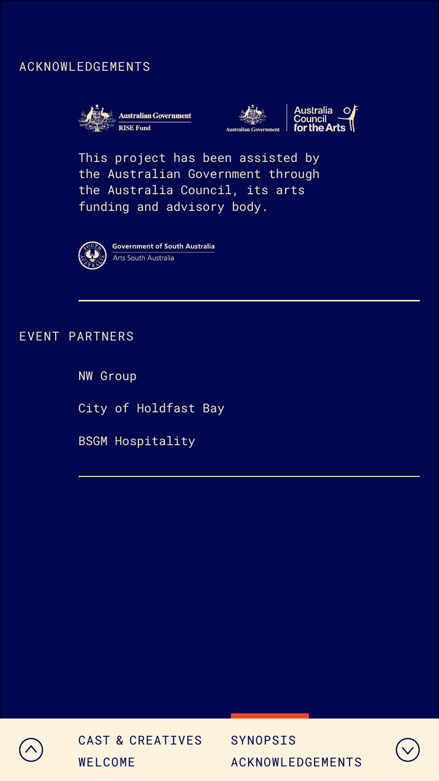This project has been assisted by the Australian Government through the Australia Council, its arts funding and advisory body.



**Government of South Australia** Arts South Australia

### <span id="page-7-0"></span>ACKNOWLEDGEMENTS







NW Group

City of Holdfast Bay

BSGM Hospitality



#### EVENT PARTNERS



| WELCOME |  |  |
|---------|--|--|
|         |  |  |